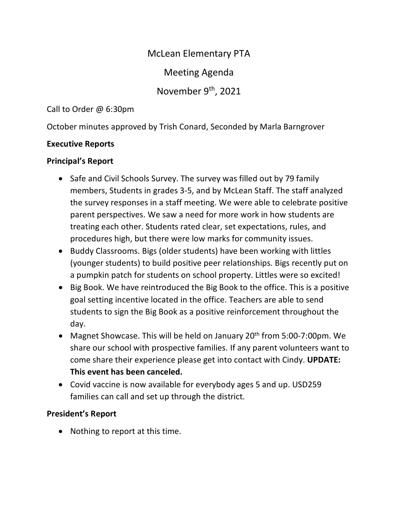McLean Elementary PTA

Meeting Agenda

November 9<sup>th</sup>, 2021

Call to Order @ 6:30pm

October minutes approved by Trish Conard, Seconded by Marla Barngrover

## **Executive Reports**

# **Principal's Report**

- Safe and Civil Schools Survey. The survey was filled out by 79 family members, Students in grades 3-5, and by McLean Staff. The staff analyzed the survey responses in a staff meeting. We were able to celebrate positive parent perspectives. We saw a need for more work in how students are treating each other. Students rated clear, set expectations, rules, and procedures high, but there were low marks for community issues.
- Buddy Classrooms. Bigs (older students) have been working with littles (younger students) to build positive peer relationships. Bigs recently put on a pumpkin patch for students on school property. Littles were so excited!
- Big Book. We have reintroduced the Big Book to the office. This is a positive goal setting incentive located in the office. Teachers are able to send students to sign the Big Book as a positive reinforcement throughout the day.
- Magnet Showcase. This will be held on January  $20<sup>th</sup>$  from 5:00-7:00pm. We share our school with prospective families. If any parent volunteers want to come share their experience please get into contact with Cindy. **UPDATE: This event has been canceled.**
- Covid vaccine is now available for everybody ages 5 and up. USD259 families can call and set up through the district.

# **President's Report**

• Nothing to report at this time.